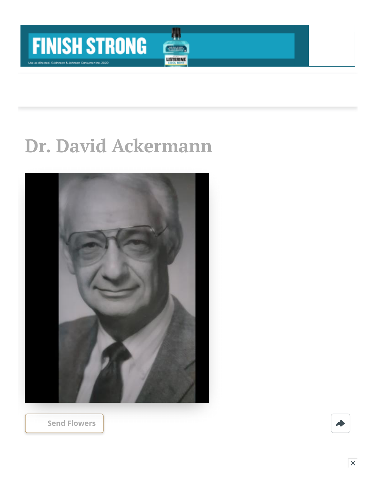

## **Dr. David Ackermann**

Д

**CIVILIAN LISTERINE** 



**[Send Flowers](https://sympathy.legacy.com/en-us/funeral-flowers/name/david-ackermann-funeral-flowers/p180191671/?affiliateId=91&pm=205)**

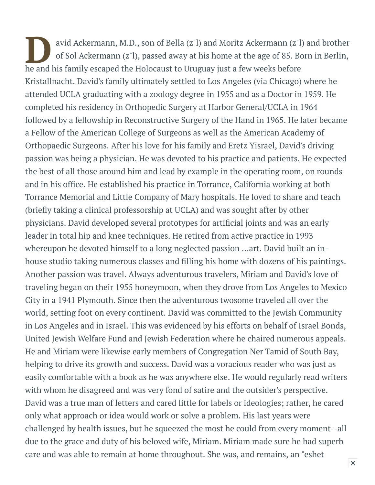avid Ackermann, M.D., son of Bella (z"l) and Moritz Ackermann (z"l) of Sol Ackermann (z"l), passed away at his home at the age of 85. Bothe and his family escaped the Holocaust to Uruguay just a few weeks before avid Ackermann, M.D., son of Bella (z"l) and Moritz Ackermann (z"l) and brother of Sol Ackermann (z"l), passed away at his home at the age of 85. Born in Berlin, Kristallnacht. David's family ultimately settled to Los Angeles (via Chicago) where he attended UCLA graduating with a zoology degree in 1955 and as a Doctor in 1959. He completed his residency in Orthopedic Surgery at Harbor General/UCLA in 1964 followed by a fellowship in Reconstructive Surgery of the Hand in 1965. He later became a Fellow of the American College of Surgeons as well as the American Academy of Orthopaedic Surgeons. After his love for his family and Eretz Yisrael, David's driving passion was being a physician. He was devoted to his practice and patients. He expected the best of all those around him and lead by example in the operating room, on rounds and in his office. He established his practice in Torrance, California working at both Torrance Memorial and Little Company of Mary hospitals. He loved to share and teach (briefly taking a clinical professorship at UCLA) and was sought after by other physicians. David developed several prototypes for artificial joints and was an early leader in total hip and knee techniques. He retired from active practice in 1993 whereupon he devoted himself to a long neglected passion ...art. David built an inhouse studio taking numerous classes and filling his home with dozens of his paintings. Another passion was travel. Always adventurous travelers, Miriam and David's love of traveling began on their 1955 honeymoon, when they drove from Los Angeles to Mexico City in a 1941 Plymouth. Since then the adventurous twosome traveled all over the world, setting foot on every continent. David was committed to the Jewish Community in Los Angeles and in Israel. This was evidenced by his efforts on behalf of Israel Bonds, United Jewish Welfare Fund and Jewish Federation where he chaired numerous appeals. He and Miriam were likewise early members of Congregation Ner Tamid of South Bay, helping to drive its growth and success. David was a voracious reader who was just as easily comfortable with a book as he was anywhere else. He would regularly read writers with whom he disagreed and was very fond of satire and the outsider's perspective. David was a true man of letters and cared little for labels or ideologies; rather, he cared only what approach or idea would work or solve a problem. His last years were challenged by health issues, but he squeezed the most he could from every moment--all due to the grace and duty of his beloved wife, Miriam. Miriam made sure he had superb care and was able to remain at home throughout. She was, and remains, an "eshet